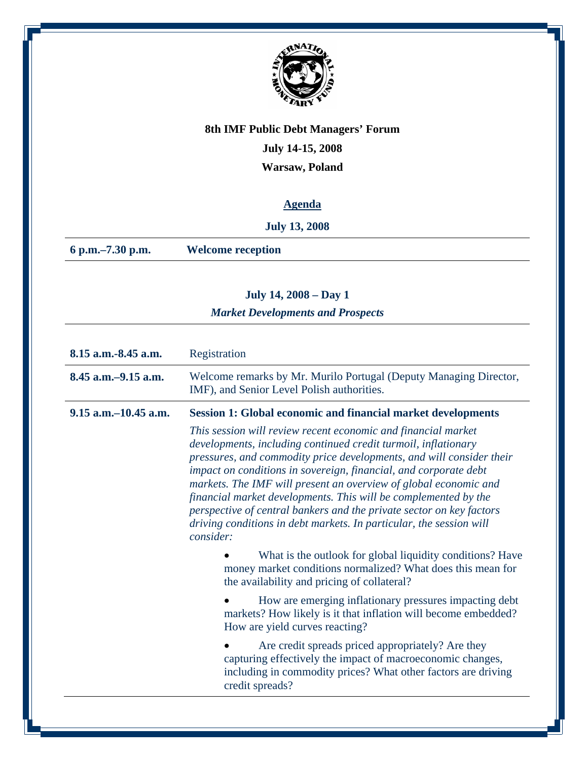

## **July 14-15, 2008**

**Warsaw, Poland**

## **Agenda**

### **July 13, 2008**

**6 p.m.–7.30 p.m. Welcome reception** 

# **July 14, 2008 – Day 1**  *Market Developments and Prospects*

| 8.15 a.m.-8.45 a.m.       | Registration                                                                                                                                                                                                                                                                                                                                                                                                                                                                                                                                                                   |
|---------------------------|--------------------------------------------------------------------------------------------------------------------------------------------------------------------------------------------------------------------------------------------------------------------------------------------------------------------------------------------------------------------------------------------------------------------------------------------------------------------------------------------------------------------------------------------------------------------------------|
| $8.45$ a.m. $-9.15$ a.m.  | Welcome remarks by Mr. Murilo Portugal (Deputy Managing Director,<br>IMF), and Senior Level Polish authorities.                                                                                                                                                                                                                                                                                                                                                                                                                                                                |
| $9.15$ a.m. $-10.45$ a.m. | <b>Session 1: Global economic and financial market developments</b>                                                                                                                                                                                                                                                                                                                                                                                                                                                                                                            |
|                           | This session will review recent economic and financial market<br>developments, including continued credit turmoil, inflationary<br>pressures, and commodity price developments, and will consider their<br>impact on conditions in sovereign, financial, and corporate debt<br>markets. The IMF will present an overview of global economic and<br>financial market developments. This will be complemented by the<br>perspective of central bankers and the private sector on key factors<br>driving conditions in debt markets. In particular, the session will<br>consider: |
|                           | What is the outlook for global liquidity conditions? Have<br>money market conditions normalized? What does this mean for<br>the availability and pricing of collateral?                                                                                                                                                                                                                                                                                                                                                                                                        |
|                           | How are emerging inflationary pressures impacting debt<br>markets? How likely is it that inflation will become embedded?<br>How are yield curves reacting?                                                                                                                                                                                                                                                                                                                                                                                                                     |
|                           | Are credit spreads priced appropriately? Are they<br>capturing effectively the impact of macroeconomic changes,<br>including in commodity prices? What other factors are driving<br>credit spreads?                                                                                                                                                                                                                                                                                                                                                                            |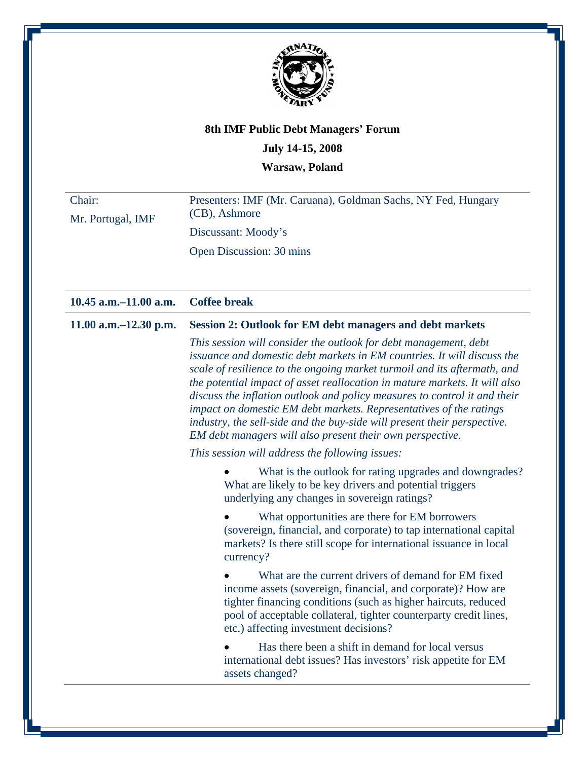

### **July 14-15, 2008**

**Warsaw, Poland** 

Chair: Mr. Portugal, IMF Presenters: IMF (Mr. Caruana), Goldman Sachs, NY Fed, Hungary (CB), Ashmore Discussant: Moody's Open Discussion: 30 mins

| $10.45$ a.m. $-11.00$ a.m. | <b>Coffee break</b>                                                                                                                                                                                                                                                                                                                                                                                                                                                                                                                                                                               |
|----------------------------|---------------------------------------------------------------------------------------------------------------------------------------------------------------------------------------------------------------------------------------------------------------------------------------------------------------------------------------------------------------------------------------------------------------------------------------------------------------------------------------------------------------------------------------------------------------------------------------------------|
| 11.00 a.m. $-12.30$ p.m.   | <b>Session 2: Outlook for EM debt managers and debt markets</b>                                                                                                                                                                                                                                                                                                                                                                                                                                                                                                                                   |
|                            | This session will consider the outlook for debt management, debt<br>issuance and domestic debt markets in EM countries. It will discuss the<br>scale of resilience to the ongoing market turmoil and its aftermath, and<br>the potential impact of asset reallocation in mature markets. It will also<br>discuss the inflation outlook and policy measures to control it and their<br>impact on domestic EM debt markets. Representatives of the ratings<br>industry, the sell-side and the buy-side will present their perspective.<br>EM debt managers will also present their own perspective. |
|                            | This session will address the following issues:                                                                                                                                                                                                                                                                                                                                                                                                                                                                                                                                                   |
|                            | What is the outlook for rating upgrades and downgrades?<br>What are likely to be key drivers and potential triggers<br>underlying any changes in sovereign ratings?                                                                                                                                                                                                                                                                                                                                                                                                                               |
|                            | What opportunities are there for EM borrowers<br>(sovereign, financial, and corporate) to tap international capital<br>markets? Is there still scope for international issuance in local<br>currency?                                                                                                                                                                                                                                                                                                                                                                                             |
|                            | What are the current drivers of demand for EM fixed<br>income assets (sovereign, financial, and corporate)? How are<br>tighter financing conditions (such as higher haircuts, reduced<br>pool of acceptable collateral, tighter counterparty credit lines,<br>etc.) affecting investment decisions?                                                                                                                                                                                                                                                                                               |
|                            | Has there been a shift in demand for local versus<br>international debt issues? Has investors' risk appetite for EM<br>assets changed?                                                                                                                                                                                                                                                                                                                                                                                                                                                            |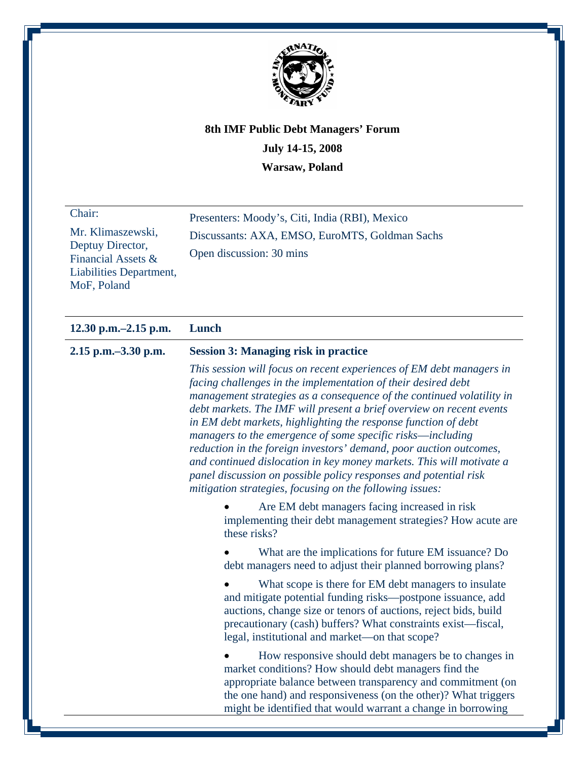

| Chair:                                 | Presenters: Moody's, Citi, India (RBI), Mexico |
|----------------------------------------|------------------------------------------------|
| Mr. Klimaszewski,                      | Discussants: AXA, EMSO, EuroMTS, Goldman Sachs |
| Deptuy Director,<br>Financial Assets & | Open discussion: 30 mins                       |
| Liabilities Department,                |                                                |
| MoF, Poland                            |                                                |

#### **12.30 p.m.–2.15 p.m. Lunch**

#### **2.15 p.m.–3.30 p.m. Session 3: Managing risk in practice**

*This session will focus on recent experiences of EM debt managers in facing challenges in the implementation of their desired debt management strategies as a consequence of the continued volatility in debt markets. The IMF will present a brief overview on recent events in EM debt markets, highlighting the response function of debt managers to the emergence of some specific risks*—*including reduction in the foreign investors' demand, poor auction outcomes, and continued dislocation in key money markets. This will motivate a panel discussion on possible policy responses and potential risk mitigation strategies, focusing on the following issues:* 

• Are EM debt managers facing increased in risk implementing their debt management strategies? How acute are these risks?

• What are the implications for future EM issuance? Do debt managers need to adjust their planned borrowing plans?

What scope is there for EM debt managers to insulate and mitigate potential funding risks—postpone issuance, add auctions, change size or tenors of auctions, reject bids, build precautionary (cash) buffers? What constraints exist—fiscal, legal, institutional and market—on that scope?

• How responsive should debt managers be to changes in market conditions? How should debt managers find the appropriate balance between transparency and commitment (on the one hand) and responsiveness (on the other)? What triggers might be identified that would warrant a change in borrowing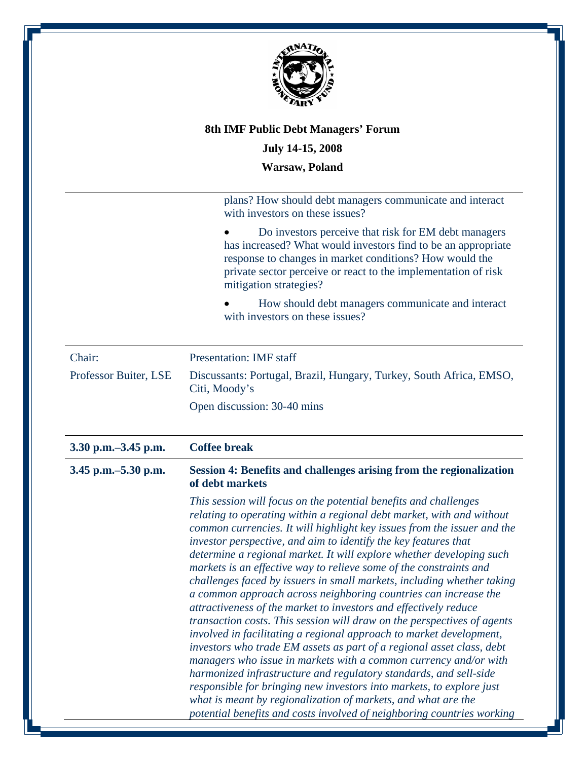

plans? How should debt managers communicate and interact with investors on these issues?

• Do investors perceive that risk for EM debt managers has increased? What would investors find to be an appropriate response to changes in market conditions? How would the private sector perceive or react to the implementation of risk mitigation strategies?

• How should debt managers communicate and interact with investors on these issues?

| Chair:                | <b>Presentation: IMF</b> staff                                                       |
|-----------------------|--------------------------------------------------------------------------------------|
| Professor Buiter, LSE | Discussants: Portugal, Brazil, Hungary, Turkey, South Africa, EMSO,<br>Citi, Moody's |
|                       | Open discussion: 30-40 mins                                                          |

| 3.30 p.m. - 3.45 p.m. | <b>Coffee break</b>                                                                                                                                                                                                                                                                                                                                                                                                                                                                                                                                                                                                                                                                                                                                                                                                                                                                                                                                                                                                                                                                                                                                                                                                                           |
|-----------------------|-----------------------------------------------------------------------------------------------------------------------------------------------------------------------------------------------------------------------------------------------------------------------------------------------------------------------------------------------------------------------------------------------------------------------------------------------------------------------------------------------------------------------------------------------------------------------------------------------------------------------------------------------------------------------------------------------------------------------------------------------------------------------------------------------------------------------------------------------------------------------------------------------------------------------------------------------------------------------------------------------------------------------------------------------------------------------------------------------------------------------------------------------------------------------------------------------------------------------------------------------|
| 3.45 p.m. - 5.30 p.m. | Session 4: Benefits and challenges arising from the regionalization<br>of debt markets                                                                                                                                                                                                                                                                                                                                                                                                                                                                                                                                                                                                                                                                                                                                                                                                                                                                                                                                                                                                                                                                                                                                                        |
|                       | This session will focus on the potential benefits and challenges<br>relating to operating within a regional debt market, with and without<br>common currencies. It will highlight key issues from the issuer and the<br>investor perspective, and aim to identify the key features that<br>determine a regional market. It will explore whether developing such<br>markets is an effective way to relieve some of the constraints and<br>challenges faced by issuers in small markets, including whether taking<br>a common approach across neighboring countries can increase the<br>attractiveness of the market to investors and effectively reduce<br>transaction costs. This session will draw on the perspectives of agents<br>involved in facilitating a regional approach to market development,<br>investors who trade EM assets as part of a regional asset class, debt<br>managers who issue in markets with a common currency and/or with<br>harmonized infrastructure and regulatory standards, and sell-side<br>responsible for bringing new investors into markets, to explore just<br>what is meant by regionalization of markets, and what are the<br>potential benefits and costs involved of neighboring countries working |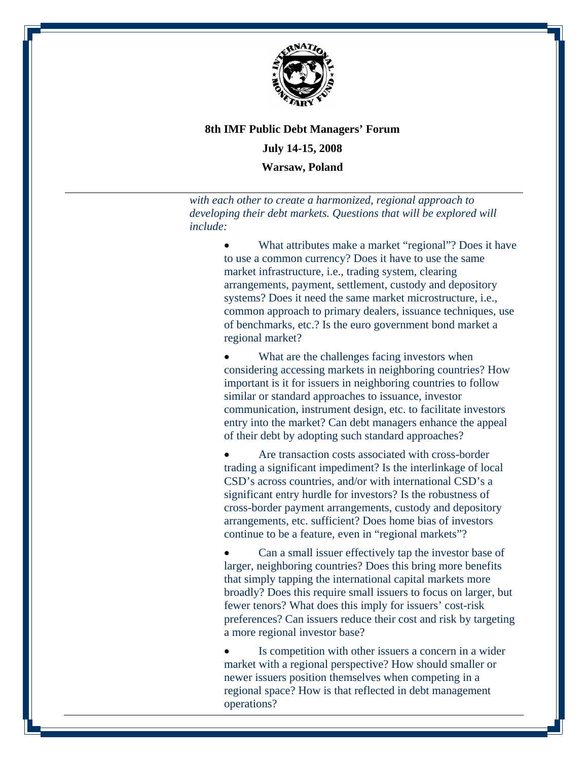

# **8th IMF Public Debt Managers' Forum July 14-15, 2008**

**Warsaw, Poland** 

*with each other to create a harmonized, regional approach to developing their debt markets. Questions that will be explored will include:* 

> What attributes make a market "regional"? Does it have to use a common currency? Does it have to use the same market infrastructure, i.e., trading system, clearing arrangements, payment, settlement, custody and depository systems? Does it need the same market microstructure, i.e., common approach to primary dealers, issuance techniques, use of benchmarks, etc.? Is the euro government bond market a regional market?

What are the challenges facing investors when considering accessing markets in neighboring countries? How important is it for issuers in neighboring countries to follow similar or standard approaches to issuance, investor communication, instrument design, etc. to facilitate investors entry into the market? Can debt managers enhance the appeal of their debt by adopting such standard approaches?

Are transaction costs associated with cross-border trading a significant impediment? Is the interlinkage of local CSD's across countries, and/or with international CSD's a significant entry hurdle for investors? Is the robustness of cross-border payment arrangements, custody and depository arrangements, etc. sufficient? Does home bias of investors continue to be a feature, even in "regional markets"?

• Can a small issuer effectively tap the investor base of larger, neighboring countries? Does this bring more benefits that simply tapping the international capital markets more broadly? Does this require small issuers to focus on larger, but fewer tenors? What does this imply for issuers' cost-risk preferences? Can issuers reduce their cost and risk by targeting a more regional investor base?

Is competition with other issuers a concern in a wider market with a regional perspective? How should smaller or newer issuers position themselves when competing in a regional space? How is that reflected in debt management operations?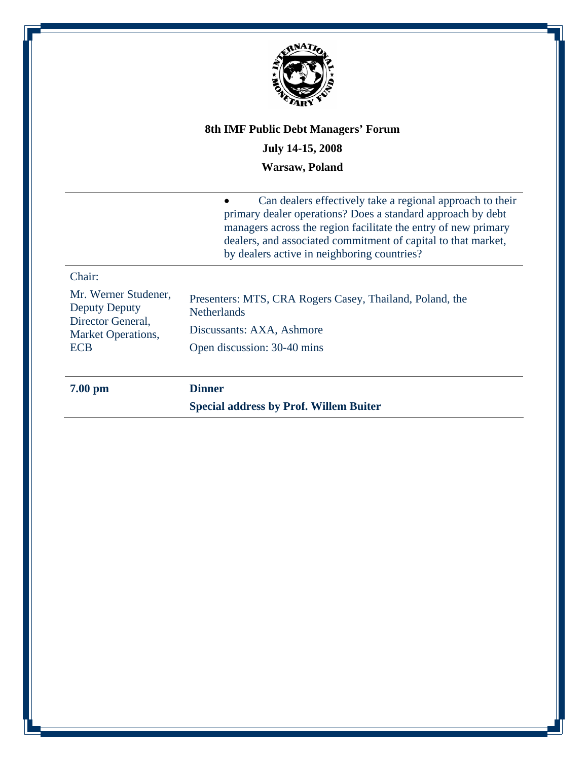

### **July 14-15, 2008**

#### **Warsaw, Poland**

• Can dealers effectively take a regional approach to their primary dealer operations? Does a standard approach by debt managers across the region facilitate the entry of new primary dealers, and associated commitment of capital to that market, by dealers active in neighboring countries?

### Chair:

Mr. Werner Studener, Deputy Deputy Director General, Market Operations, ECB Presenters: MTS, CRA Rogers Casey, Thailand, Poland, the **Netherlands** Discussants: AXA, Ashmore Open discussion: 30-40 mins

**7.00 pm Dinner** 

**Special address by Prof. Willem Buiter**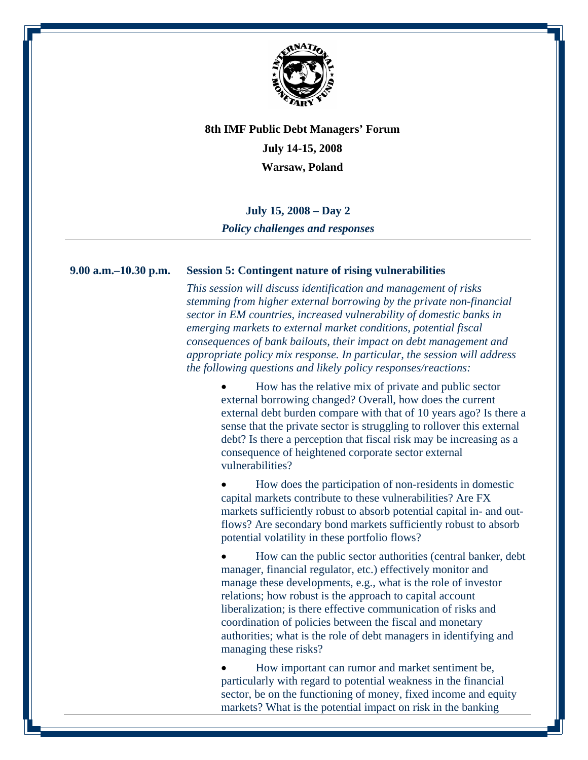

#### **July 15, 2008 – Day 2**

*Policy challenges and responses* 

#### **9.00 a.m.–10.30 p.m. Session 5: Contingent nature of rising vulnerabilities**

*This session will discuss identification and management of risks stemming from higher external borrowing by the private non-financial sector in EM countries, increased vulnerability of domestic banks in emerging markets to external market conditions, potential fiscal consequences of bank bailouts, their impact on debt management and appropriate policy mix response. In particular, the session will address the following questions and likely policy responses/reactions:* 

> • How has the relative mix of private and public sector external borrowing changed? Overall, how does the current external debt burden compare with that of 10 years ago? Is there a sense that the private sector is struggling to rollover this external debt? Is there a perception that fiscal risk may be increasing as a consequence of heightened corporate sector external vulnerabilities?

• How does the participation of non-residents in domestic capital markets contribute to these vulnerabilities? Are FX markets sufficiently robust to absorb potential capital in- and outflows? Are secondary bond markets sufficiently robust to absorb potential volatility in these portfolio flows?

• How can the public sector authorities (central banker, debt manager, financial regulator, etc.) effectively monitor and manage these developments, e.g., what is the role of investor relations; how robust is the approach to capital account liberalization; is there effective communication of risks and coordination of policies between the fiscal and monetary authorities; what is the role of debt managers in identifying and managing these risks?

• How important can rumor and market sentiment be, particularly with regard to potential weakness in the financial sector, be on the functioning of money, fixed income and equity markets? What is the potential impact on risk in the banking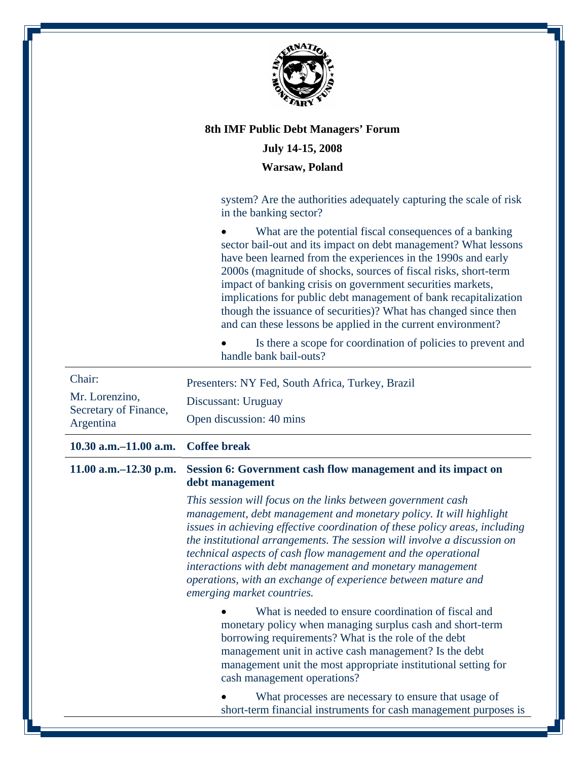

#### **July 14-15, 2008**

#### **Warsaw, Poland**

system? Are the authorities adequately capturing the scale of risk in the banking sector?

What are the potential fiscal consequences of a banking sector bail-out and its impact on debt management? What lessons have been learned from the experiences in the 1990s and early 2000s (magnitude of shocks, sources of fiscal risks, short-term impact of banking crisis on government securities markets, implications for public debt management of bank recapitalization though the issuance of securities)? What has changed since then and can these lessons be applied in the current environment?

• Is there a scope for coordination of policies to prevent and handle bank bail-outs?

| Chair:<br>Mr. Lorenzino,<br>Secretary of Finance,<br>Argentina | Presenters: NY Fed, South Africa, Turkey, Brazil<br>Discussant: Uruguay<br>Open discussion: 40 mins                                                                                                                                                                                                                                                                                                                                                                                                                        |
|----------------------------------------------------------------|----------------------------------------------------------------------------------------------------------------------------------------------------------------------------------------------------------------------------------------------------------------------------------------------------------------------------------------------------------------------------------------------------------------------------------------------------------------------------------------------------------------------------|
| $10.30$ a.m. $-11.00$ a.m.                                     | <b>Coffee break</b>                                                                                                                                                                                                                                                                                                                                                                                                                                                                                                        |
| $11.00$ a.m. $-12.30$ p.m.                                     | Session 6: Government cash flow management and its impact on<br>debt management                                                                                                                                                                                                                                                                                                                                                                                                                                            |
|                                                                | This session will focus on the links between government cash<br>management, debt management and monetary policy. It will highlight<br>issues in achieving effective coordination of these policy areas, including<br>the institutional arrangements. The session will involve a discussion on<br>technical aspects of cash flow management and the operational<br>interactions with debt management and monetary management<br>operations, with an exchange of experience between mature and<br>emerging market countries. |
|                                                                | What is needed to ensure coordination of fiscal and<br>monetary policy when managing surplus cash and short-term<br>borrowing requirements? What is the role of the debt<br>management unit in active cash management? Is the debt<br>management unit the most appropriate institutional setting for<br>cash management operations?                                                                                                                                                                                        |
|                                                                | What processes are necessary to ensure that usage of<br>short-term financial instruments for cash management purposes is                                                                                                                                                                                                                                                                                                                                                                                                   |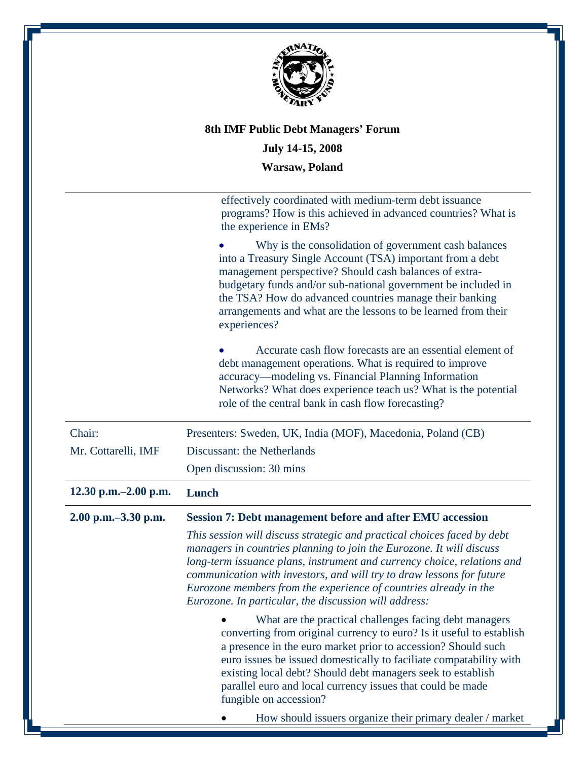

# **8th IMF Public Debt Managers' Forum July 14-15, 2008**

**Warsaw, Poland** 

|                         | effectively coordinated with medium-term debt issuance<br>programs? How is this achieved in advanced countries? What is<br>the experience in EMs?                                                                                                                                                                                                                                                                                |
|-------------------------|----------------------------------------------------------------------------------------------------------------------------------------------------------------------------------------------------------------------------------------------------------------------------------------------------------------------------------------------------------------------------------------------------------------------------------|
|                         | Why is the consolidation of government cash balances<br>into a Treasury Single Account (TSA) important from a debt<br>management perspective? Should cash balances of extra-<br>budgetary funds and/or sub-national government be included in<br>the TSA? How do advanced countries manage their banking<br>arrangements and what are the lessons to be learned from their<br>experiences?                                       |
|                         | Accurate cash flow forecasts are an essential element of<br>debt management operations. What is required to improve<br>accuracy—modeling vs. Financial Planning Information<br>Networks? What does experience teach us? What is the potential<br>role of the central bank in cash flow forecasting?                                                                                                                              |
| Chair:                  | Presenters: Sweden, UK, India (MOF), Macedonia, Poland (CB)                                                                                                                                                                                                                                                                                                                                                                      |
| Mr. Cottarelli, IMF     | Discussant: the Netherlands                                                                                                                                                                                                                                                                                                                                                                                                      |
|                         | Open discussion: 30 mins                                                                                                                                                                                                                                                                                                                                                                                                         |
|                         |                                                                                                                                                                                                                                                                                                                                                                                                                                  |
| 12.30 p.m. $-2.00$ p.m. | Lunch                                                                                                                                                                                                                                                                                                                                                                                                                            |
| 2.00 p.m. - 3.30 p.m.   | <b>Session 7: Debt management before and after EMU accession</b>                                                                                                                                                                                                                                                                                                                                                                 |
|                         | This session will discuss strategic and practical choices faced by debt<br>managers in countries planning to join the Eurozone. It will discuss<br>long-term issuance plans, instrument and currency choice, relations and<br>communication with investors, and will try to draw lessons for future<br>Eurozone members from the experience of countries already in the<br>Eurozone. In particular, the discussion will address: |
|                         | What are the practical challenges facing debt managers<br>converting from original currency to euro? Is it useful to establish<br>a presence in the euro market prior to accession? Should such<br>euro issues be issued domestically to faciliate compatability with<br>existing local debt? Should debt managers seek to establish<br>parallel euro and local currency issues that could be made<br>fungible on accession?     |